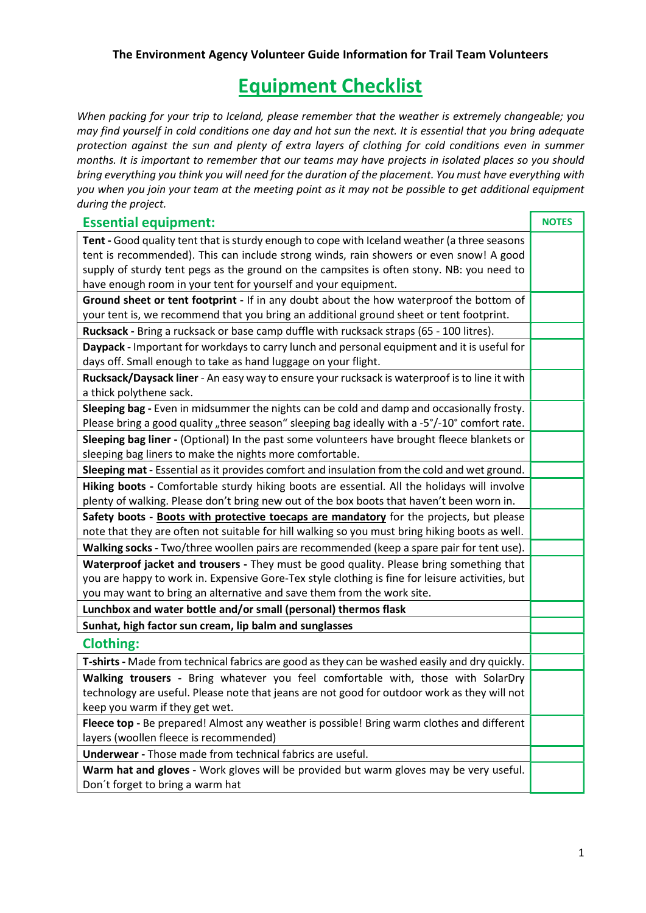## Equipment Checklist

When packing for your trip to Iceland, please remember that the weather is extremely changeable; you may find yourself in cold conditions one day and hot sun the next. It is essential that you bring adequate protection against the sun and plenty of extra layers of clothing for cold conditions even in summer months. It is important to remember that our teams may have projects in isolated places so you should bring everything you think you will need for the duration of the placement. You must have everything with you when you join your team at the meeting point as it may not be possible to get additional equipment during the project.

| <b>Essential equipment:</b>                                                                     | <b>NOTES</b> |
|-------------------------------------------------------------------------------------------------|--------------|
| Tent - Good quality tent that is sturdy enough to cope with Iceland weather (a three seasons    |              |
| tent is recommended). This can include strong winds, rain showers or even snow! A good          |              |
| supply of sturdy tent pegs as the ground on the campsites is often stony. NB: you need to       |              |
| have enough room in your tent for yourself and your equipment.                                  |              |
| Ground sheet or tent footprint - If in any doubt about the how waterproof the bottom of         |              |
| your tent is, we recommend that you bring an additional ground sheet or tent footprint.         |              |
| Rucksack - Bring a rucksack or base camp duffle with rucksack straps (65 - 100 litres).         |              |
| Daypack - Important for workdays to carry lunch and personal equipment and it is useful for     |              |
| days off. Small enough to take as hand luggage on your flight.                                  |              |
| Rucksack/Daysack liner - An easy way to ensure your rucksack is waterproof is to line it with   |              |
| a thick polythene sack.                                                                         |              |
| Sleeping bag - Even in midsummer the nights can be cold and damp and occasionally frosty.       |              |
| Please bring a good quality "three season" sleeping bag ideally with a -5°/-10° comfort rate.   |              |
| Sleeping bag liner - (Optional) In the past some volunteers have brought fleece blankets or     |              |
| sleeping bag liners to make the nights more comfortable.                                        |              |
| Sleeping mat - Essential as it provides comfort and insulation from the cold and wet ground.    |              |
| Hiking boots - Comfortable sturdy hiking boots are essential. All the holidays will involve     |              |
| plenty of walking. Please don't bring new out of the box boots that haven't been worn in.       |              |
| Safety boots - Boots with protective toecaps are mandatory for the projects, but please         |              |
| note that they are often not suitable for hill walking so you must bring hiking boots as well.  |              |
| Walking socks - Two/three woollen pairs are recommended (keep a spare pair for tent use).       |              |
| Waterproof jacket and trousers - They must be good quality. Please bring something that         |              |
| you are happy to work in. Expensive Gore-Tex style clothing is fine for leisure activities, but |              |
| you may want to bring an alternative and save them from the work site.                          |              |
| Lunchbox and water bottle and/or small (personal) thermos flask                                 |              |
| Sunhat, high factor sun cream, lip balm and sunglasses                                          |              |
| <b>Clothing:</b>                                                                                |              |
| T-shirts - Made from technical fabrics are good as they can be washed easily and dry quickly.   |              |
| Walking trousers - Bring whatever you feel comfortable with, those with SolarDry                |              |
| technology are useful. Please note that jeans are not good for outdoor work as they will not    |              |
| keep you warm if they get wet.                                                                  |              |
| Fleece top - Be prepared! Almost any weather is possible! Bring warm clothes and different      |              |
| layers (woollen fleece is recommended)                                                          |              |
| Underwear - Those made from technical fabrics are useful.                                       |              |
| Warm hat and gloves - Work gloves will be provided but warm gloves may be very useful.          |              |
| Don't forget to bring a warm hat                                                                |              |